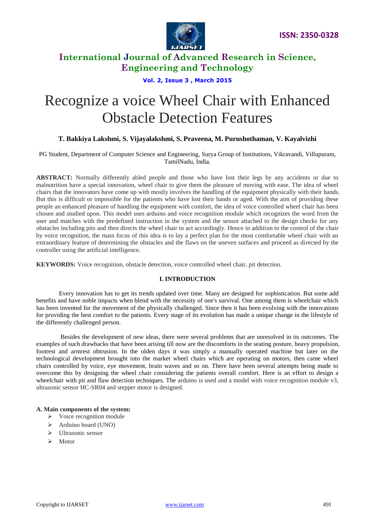

### **Vol. 2, Issue 3 , March 2015**

# Recognize a voice Wheel Chair with Enhanced Obstacle Detection Features

### **T. Bakkiya Lakshmi, S. Vijayalakshmi, S. Praveena, M. Purushothaman, V. Kayalvizhi**

PG Student, Department of Computer Science and Engineering, Surya Group of Institutions, Vikravandi, Villupuram, TamilNadu, India.

**ABSTRACT:** Normally differently abled people and those who have lost their legs by any accidents or due to malnutrition have a special innovation, wheel chair to give them the pleasure of moving with ease. The idea of wheel chairs that the innovators have come up with mostly involves the handling of the equipment physically with their hands. But this is difficult or impossible for the patients who have lost their hands or aged. With the aim of providing these people an enhanced pleasure of handling the equipment with comfort, the idea of voice controlled wheel chair has been chosen and studied upon. This model uses arduino and voice recognition module which recognizes the word from the user and matches with the predefined instruction in the system and the sensor attached to the design checks for any obstacles including pits and then directs the wheel chair to act accordingly. Hence in addition to the control of the chair by voice recognition, the main focus of this idea is to lay a perfect plan for the most comfortable wheel chair with an extraordinary feature of determining the obstacles and the flaws on the uneven surfaces and proceed as directed by the controller using the artificial intelligence.

**KEYWORDS:** Voice recognition, obstacle detection, voice controlled wheel chair, pit detection.

### **I. INTRODUCTION**

Every innovation has to get its trends updated over time. Many are designed for sophistication. But some add benefits and have noble impacts when blend with the necessity of one's survival. One among them is wheelchair which has been invented for the movement of the physically challenged. Since then it has been evolving with the innovations for providing the best comfort to the patients. Every stage of its evolution has made a unique change in the lifestyle of the differently challenged person.

Besides the development of new ideas, there were several problems that are unresolved in its outcomes. The examples of such drawbacks that have been arising till now are the discomforts in the seating posture, heavy propulsion, footrest and armrest obtrusion. In the olden days it was simply a manually operated machine but later on the technological development brought into the market wheel chairs which are operating on motors, then came wheel chairs controlled by voice, eye movement, brain waves and so on. There have been several attempts being made to overcome this by designing the wheel chair considering the patients overall comfort. Here is an effort to design a wheelchair with pit and flaw detection techniques. The arduino is used and a model with voice recognition module v3, ultrasonic sensor HC-SR04 and stepper motor is designed.

#### **A. Main components of the system:**

- $\triangleright$  Voice recognition module
- Arduino board (UNO)
- $\triangleright$  Ultrasonic sensor
- $\triangleright$  Motor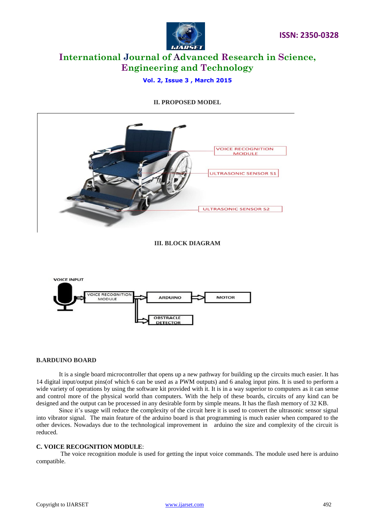

### **Vol. 2, Issue 3 , March 2015**

### **II. PROPOSED MODEL**





### **B.ARDUINO BOARD**

It is a single board microcontroller that opens up a new pathway for building up the circuits much easier. It has 14 digital input/output pins(of which 6 can be used as a PWM outputs) and 6 analog input pins. It is used to perform a wide variety of operations by using the software kit provided with it. It is in a way superior to computers as it can sense and control more of the physical world than computers. With the help of these boards, circuits of any kind can be designed and the output can be processed in any desirable form by simple means. It has the flash memory of 32 KB.

Since it's usage will reduce the complexity of the circuit here it is used to convert the ultrasonic sensor signal into vibrator signal. The main feature of the arduino board is that programming is much easier when compared to the other devices. Nowadays due to the technological improvement in arduino the size and complexity of the circuit is reduced.

### **C. VOICE RECOGNITION MODULE**:

The voice recognition module is used for getting the input voice commands. The module used here is arduino compatible.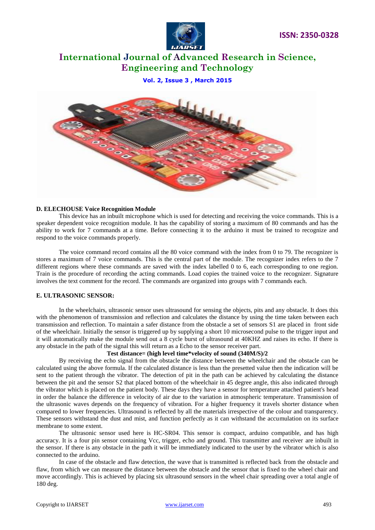

**Vol. 2, Issue 3 , March 2015**



### **D. ELECHOUSE Voice Recognition Module**

This device has an inbuilt microphone which is used for detecting and receiving the voice commands. This is a speaker dependent voice recognition module. It has the capability of storing a maximum of 80 commands and has the ability to work for 7 commands at a time. Before connecting it to the arduino it must be trained to recognize and respond to the voice commands properly.

The voice command record contains all the 80 voice command with the index from 0 to 79. The recognizer is stores a maximum of 7 voice commands. This is the central part of the module. The recognizer index refers to the 7 different regions where these commands are saved with the index labelled 0 to 6, each corresponding to one region. Train is the procedure of recording the acting commands. Load copies the trained voice to the recognizer. Signature involves the text comment for the record. The commands are organized into groups with 7 commands each.

### **E. ULTRASONIC SENSOR:**

In the wheelchairs, ultrasonic sensor uses ultrasound for sensing the objects, pits and any obstacle. It does this with the phenomenon of transmission and reflection and calculates the distance by using the time taken between each transmission and reflection. To maintain a safer distance from the obstacle a set of sensors S1 are placed in front side of the wheelchair. Initially the sensor is triggered up by supplying a short 10 microsecond pulse to the trigger input and it will automatically make the module send out a 8 cycle burst of ultrasound at 40KHZ and raises its echo. If there is any obstacle in the path of the signal this will return as a Echo to the sensor receiver part.

### **Test distance= (high level time\*velocity of sound (340M/S)/2**

By receiving the echo signal from the obstacle the distance between the wheelchair and the obstacle can be calculated using the above formula. If the calculated distance is less than the presetted value then the indication will be sent to the patient through the vibrator. The detection of pit in the path can be achieved by calculating the distance between the pit and the sensor S2 that placed bottom of the wheelchair in 45 degree angle, this also indicated through the vibrator which is placed on the patient body. These days they have a sensor for temperature attached patient's head in order the balance the difference in velocity of air due to the variation in atmospheric temperature. Transmission of the ultrasonic waves depends on the frequency of vibration. For a higher frequency it travels shorter distance when compared to lower frequencies. Ultrasound is reflected by all the materials irrespective of the colour and transparency. These sensors withstand the dust and mist, and function perfectly as it can withstand the accumulation on its surface membrane to some extent.

The ultrasonic sensor used here is HC-SR04. This sensor is compact, arduino compatible, and has high accuracy. It is a four pin sensor containing Vcc, trigger, echo and ground. This transmitter and receiver are inbuilt in the sensor. If there is any obstacle in the path it will be immediately indicated to the user by the vibrator which is also connected to the arduino.

In case of the obstacle and flaw detection, the wave that is transmitted is reflected back from the obstacle and flaw, from which we can measure the distance between the obstacle and the sensor that is fixed to the wheel chair and move accordingly. This is achieved by placing six ultrasound sensors in the wheel chair spreading over a total angle of 180 deg.